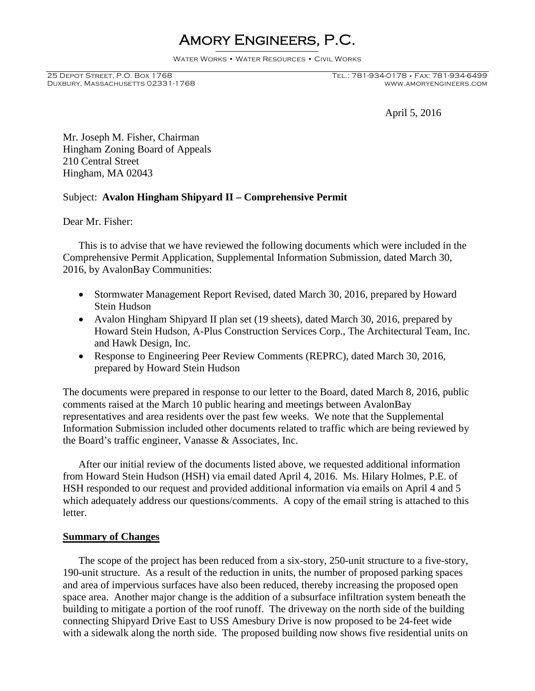# Amory Engineers, P.C.

Water Works • Water Resources • Civil Works

Duxbury, Massachusetts 02331-1768

# 25 Depot Street, P.O. Box 1768 Tel.: 781-934-0178 • Fax: 781-934-6499

April 5, 2016

Mr. Joseph M. Fisher, Chairman Hingham Zoning Board of Appeals 210 Central Street Hingham, MA 02043

# Subject: **Avalon Hingham Shipyard II – Comprehensive Permit**

Dear Mr. Fisher:

This is to advise that we have reviewed the following documents which were included in the Comprehensive Permit Application, Supplemental Information Submission, dated March 30, 2016, by AvalonBay Communities:

- Stormwater Management Report Revised, dated March 30, 2016, prepared by Howard Stein Hudson
- Avalon Hingham Shipyard II plan set (19 sheets), dated March 30, 2016, prepared by Howard Stein Hudson, A-Plus Construction Services Corp., The Architectural Team, Inc. and Hawk Design, Inc.
- Response to Engineering Peer Review Comments (REPRC), dated March 30, 2016, prepared by Howard Stein Hudson

The documents were prepared in response to our letter to the Board, dated March 8, 2016, public comments raised at the March 10 public hearing and meetings between AvalonBay representatives and area residents over the past few weeks. We note that the Supplemental Information Submission included other documents related to traffic which are being reviewed by the Board's traffic engineer, Vanasse & Associates, Inc.

After our initial review of the documents listed above, we requested additional information from Howard Stein Hudson (HSH) via email dated April 4, 2016. Ms. Hilary Holmes, P.E. of HSH responded to our request and provided additional information via emails on April 4 and 5 which adequately address our questions/comments. A copy of the email string is attached to this letter.

### **Summary of Changes**

The scope of the project has been reduced from a six-story, 250-unit structure to a five-story, 190-unit structure. As a result of the reduction in units, the number of proposed parking spaces and area of impervious surfaces have also been reduced, thereby increasing the proposed open space area. Another major change is the addition of a subsurface infiltration system beneath the building to mitigate a portion of the roof runoff. The driveway on the north side of the building connecting Shipyard Drive East to USS Amesbury Drive is now proposed to be 24-feet wide with a sidewalk along the north side. The proposed building now shows five residential units on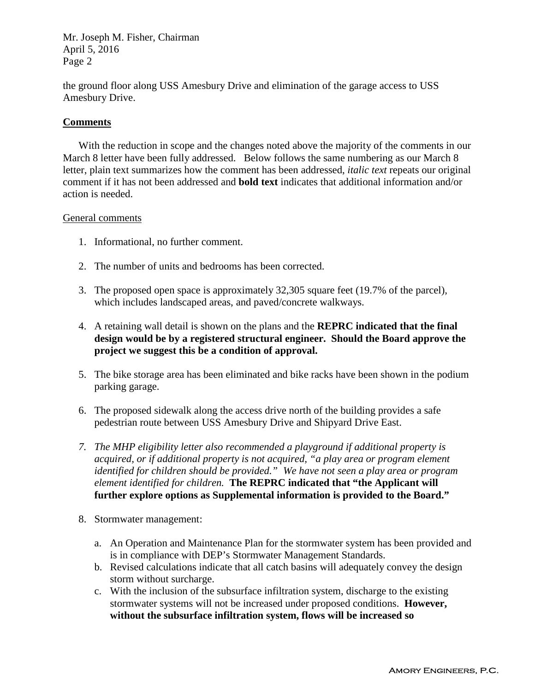Mr. Joseph M. Fisher, Chairman April 5, 2016 Page 2

the ground floor along USS Amesbury Drive and elimination of the garage access to USS Amesbury Drive.

# **Comments**

With the reduction in scope and the changes noted above the majority of the comments in our March 8 letter have been fully addressed. Below follows the same numbering as our March 8 letter, plain text summarizes how the comment has been addressed, *italic text* repeats our original comment if it has not been addressed and **bold text** indicates that additional information and/or action is needed.

## General comments

- 1. Informational, no further comment.
- 2. The number of units and bedrooms has been corrected.
- 3. The proposed open space is approximately 32,305 square feet (19.7% of the parcel), which includes landscaped areas, and paved/concrete walkways.
- 4. A retaining wall detail is shown on the plans and the **REPRC indicated that the final design would be by a registered structural engineer. Should the Board approve the project we suggest this be a condition of approval.**
- 5. The bike storage area has been eliminated and bike racks have been shown in the podium parking garage.
- 6. The proposed sidewalk along the access drive north of the building provides a safe pedestrian route between USS Amesbury Drive and Shipyard Drive East.
- *7. The MHP eligibility letter also recommended a playground if additional property is acquired, or if additional property is not acquired, "a play area or program element identified for children should be provided." We have not seen a play area or program element identified for children.* **The REPRC indicated that "the Applicant will further explore options as Supplemental information is provided to the Board."**
- 8. Stormwater management:
	- a. An Operation and Maintenance Plan for the stormwater system has been provided and is in compliance with DEP's Stormwater Management Standards.
	- b. Revised calculations indicate that all catch basins will adequately convey the design storm without surcharge.
	- c. With the inclusion of the subsurface infiltration system, discharge to the existing stormwater systems will not be increased under proposed conditions. **However, without the subsurface infiltration system, flows will be increased so**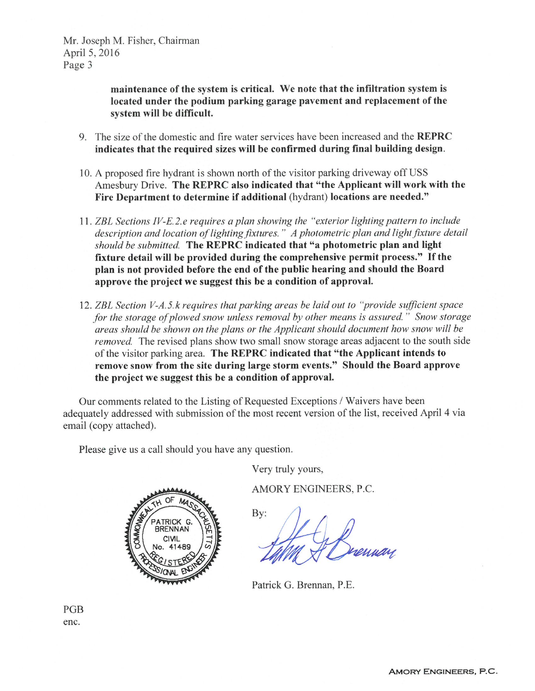Mr. Joseph M. Fisher, Chairman April 5, 2016 Page 3

> maintenance of the system is critical. We note that the infiltration system is located under the podium parking garage pavement and replacement of the system will be difficult.

- 9. The size of the domestic and fire water services have been increased and the REPRC indicates that the required sizes will be confirmed during final building design.
- 10. A proposed fire hydrant is shown north of the visitor parking driveway off USS Amesbury Drive. The REPRC also indicated that "the Applicant will work with the Fire Department to determine if additional (hydrant) locations are needed."
- 11. ZBL Sections IV-E.2.e requires a plan showing the "exterior lighting pattern to include" description and location of lighting fixtures." A photometric plan and light fixture detail should be submitted. The REPRC indicated that "a photometric plan and light fixture detail will be provided during the comprehensive permit process." If the plan is not provided before the end of the public hearing and should the Board approve the project we suggest this be a condition of approval.
- 12. ZBL Section V-A.5.k requires that parking areas be laid out to "provide sufficient space" for the storage of plowed snow unless removal by other means is assured." Snow storage areas should be shown on the plans or the Applicant should document how snow will be removed. The revised plans show two small snow storage areas adjacent to the south side of the visitor parking area. The REPRC indicated that "the Applicant intends to remove snow from the site during large storm events." Should the Board approve the project we suggest this be a condition of approval.

Our comments related to the Listing of Requested Exceptions / Waivers have been adequately addressed with submission of the most recent version of the list, received April 4 via email (copy attached).

Please give us a call should you have any question.

Very truly yours,

AMORY ENGINEERS, P.C.

By:

Patrick G. Brennan, P.E.

PGB enc.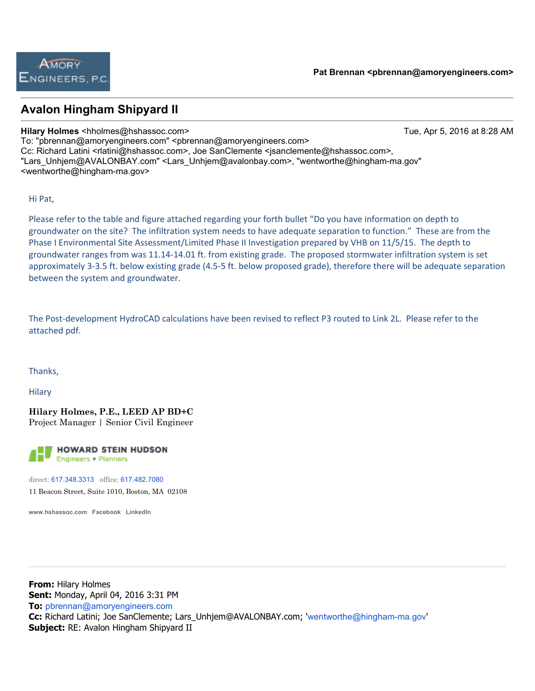# **Avalon Hingham Shipyard II**

### **Hilary Holmes** <hholmes@hshassoc.com> Tue, Apr 5, 2016 at 8:28 AM

To: "pbrennan@amoryengineers.com" <pbrennan@amoryengineers.com> Cc: Richard Latini <rlatini@hshassoc.com>, Joe SanClemente <jsanclemente@hshassoc.com>, "Lars\_Unhjem@AVALONBAY.com" <Lars\_Unhjem@avalonbay.com>, "wentworthe@hingham-ma.gov" <wentworthe@hingham-ma.gov>

Hi Pat,

Please refer to the table and figure attached regarding your forth bullet "Do you have information on depth to groundwater on the site? The infiltration system needs to have adequate separation to function." These are from the Phase I Environmental Site Assessment/Limited Phase II Investigation prepared by VHB on 11/5/15. The depth to groundwater ranges from was 11.14-14.01 ft. from existing grade. The proposed stormwater infiltration system is set approximately 3-3.5 ft. below existing grade (4.5-5 ft. below proposed grade), therefore there will be adequate separation between the system and groundwater.

The Post-development HydroCAD calculations have been revised to reflect P3 routed to Link 2L. Please refer to the attached pdf.

Thanks,

**Hilary** 

**Hilary Holmes, P.E., LEED AP BD+C** Project Manager | Senior Civil Engineer

**HOWARD STEIN HUDSON Engineers + Planners** 

direct: 617.348.3313 office: 617.482.7080 11 Beacon Street, Suite 1010, Boston, MA 02108

**www.hshassoc.com Facebook LinkedIn**

**From:** Hilary Holmes **Sent:** Monday, April 04, 2016 3:31 PM **To:** pbrennan@amoryengineers.com **Cc:** Richard Latini; Joe SanClemente; Lars\_Unhjem@AVALONBAY.com; 'wentworthe@hingham-ma.gov' **Subject:** RE: Avalon Hingham Shipyard II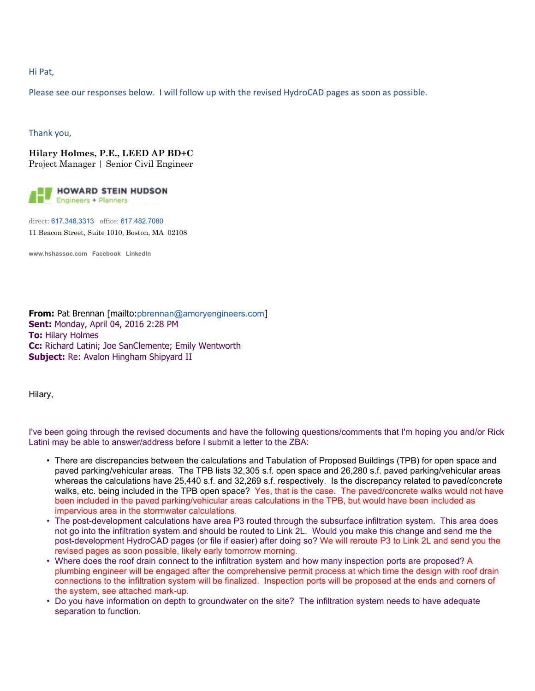### Hi Pat,

Please see our responses below. I will follow up with the revised HydroCAD pages as soon as possible.

Thank you,

**Hilary Holmes, P.E., LEED AP BD+C** Project Manager | Senior Civil Engineer



direct: 617.348.3313 office: 617.482.7080 11 Beacon Street, Suite 1010, Boston, MA 02108

**www.hshassoc.com Facebook LinkedIn**

**From:** Pat Brennan [mailto:pbrennan@amoryengineers.com] **Sent:** Monday, April 04, 2016 2:28 PM **To:** Hilary Holmes **Cc:** Richard Latini; Joe SanClemente; Emily Wentworth **Subject:** Re: Avalon Hingham Shipyard II

Hilary,

I've been going through the revised documents and have the following questions/comments that I'm hoping you and/or Rick Latini may be able to answer/address before I submit a letter to the ZBA:

- There are discrepancies between the calculations and Tabulation of Proposed Buildings (TPB) for open space and paved parking/vehicular areas. The TPB lists 32,305 s.f. open space and 26,280 s.f. paved parking/vehicular areas whereas the calculations have 25,440 s.f. and 32,269 s.f. respectively. Is the discrepancy related to paved/concrete walks, etc. being included in the TPB open space? Yes, that is the case. The paved/concrete walks would not have been included in the paved parking/vehicular areas calculations in the TPB, but would have been included as impervious area in the stormwater calculations.
- The post-development calculations have area P3 routed through the subsurface infiltration system. This area does not go into the infiltration system and should be routed to Link 2L. Would you make this change and send me the post-development HydroCAD pages (or file if easier) after doing so? We will reroute P3 to Link 2L and send you the revised pages as soon possible, likely early tomorrow morning.
- Where does the roof drain connect to the infiltration system and how many inspection ports are proposed? A plumbing engineer will be engaged after the comprehensive permit process at which time the design with roof drain connections to the infiltration system will be finalized. Inspection ports will be proposed at the ends and corners of the system, see attached mark-up.
- Do you have information on depth to groundwater on the site? The infiltration system needs to have adequate separation to function.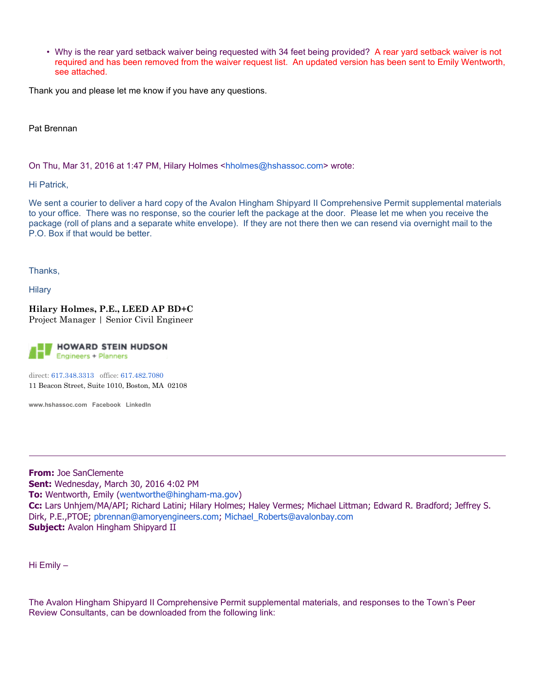• Why is the rear yard setback waiver being requested with 34 feet being provided? A rear yard setback waiver is not required and has been removed from the waiver request list. An updated version has been sent to Emily Wentworth, see attached.

Thank you and please let me know if you have any questions.

Pat Brennan

On Thu, Mar 31, 2016 at 1:47 PM, Hilary Holmes <hholmes@hshassoc.com> wrote:

Hi Patrick,

We sent a courier to deliver a hard copy of the Avalon Hingham Shipyard II Comprehensive Permit supplemental materials to your office. There was no response, so the courier left the package at the door. Please let me when you receive the package (roll of plans and a separate white envelope). If they are not there then we can resend via overnight mail to the P.O. Box if that would be better.

Thanks,

**Hilary** 

**Hilary Holmes, P.E., LEED AP BD+C** Project Manager | Senior Civil Engineer



direct: 617.348.3313 office: 617.482.7080 11 Beacon Street, Suite 1010, Boston, MA 02108

**www.hshassoc.com Facebook LinkedIn**

**From:** Joe SanClemente **Sent:** Wednesday, March 30, 2016 4:02 PM **To:** Wentworth, Emily (wentworthe@hingham-ma.gov) **Cc:** Lars Unhjem/MA/API; Richard Latini; Hilary Holmes; Haley Vermes; Michael Littman; Edward R. Bradford; Jeffrey S. Dirk, P.E.,PTOE; pbrennan@amoryengineers.com; Michael\_Roberts@avalonbay.com **Subject:** Avalon Hingham Shipyard II

Hi Emily –

The Avalon Hingham Shipyard II Comprehensive Permit supplemental materials, and responses to the Town's Peer Review Consultants, can be downloaded from the following link: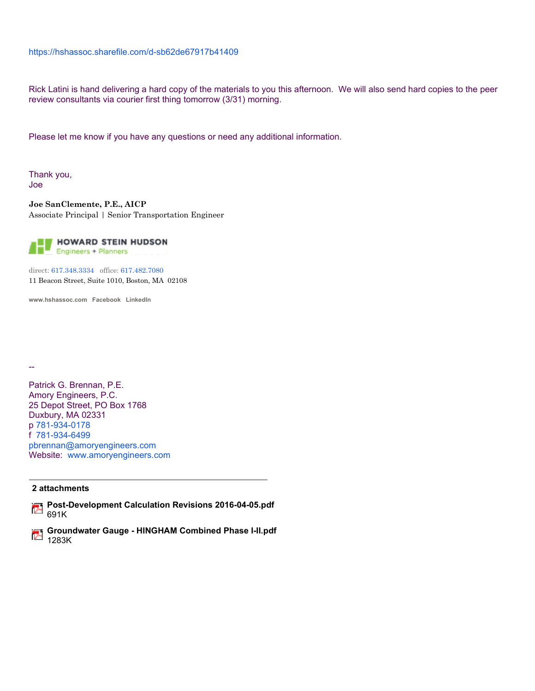### https://hshassoc.sharefile.com/d-sb62de67917b41409

Rick Latini is hand delivering a hard copy of the materials to you this afternoon. We will also send hard copies to the peer review consultants via courier first thing tomorrow (3/31) morning.

Please let me know if you have any questions or need any additional information.

Thank you, Joe

**Joe SanClemente, P.E., AICP** Associate Principal | Senior Transportation Engineer



direct: 617.348.3334 office: 617.482.7080 11 Beacon Street, Suite 1010, Boston, MA 02108

**www.hshassoc.com Facebook LinkedIn**

Patrick G. Brennan, P.E. Amory Engineers, P.C. 25 Depot Street, PO Box 1768 Duxbury, MA 02331 p 781-934-0178 f 781-934-6499 pbrennan@amoryengineers.com Website: www.amoryengineers.com

#### **2 attachments**

--

- **Post-Development Calculation Revisions 2016-04-05.pdf** 691K
- **Groundwater Gauge HINGHAM Combined Phase I-II.pdf** 1283K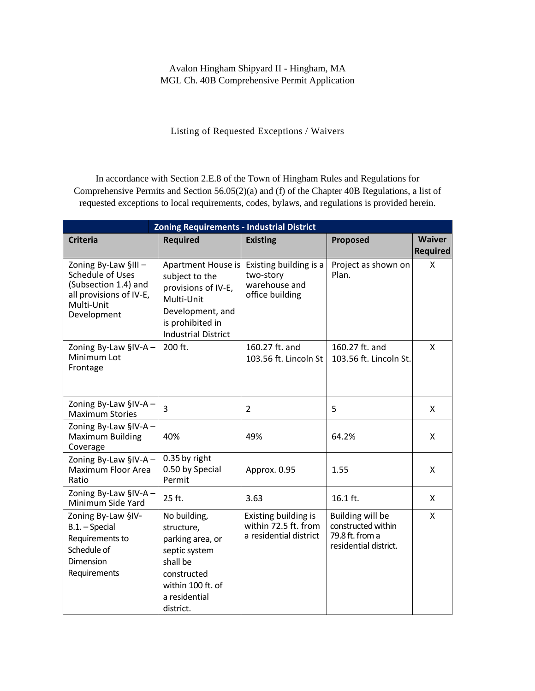Listing of Requested Exceptions / Waivers

In accordance with Section 2.E.8 of the Town of Hingham Rules and Regulations for Comprehensive Permits and Section 56.05(2)(a) and (f) of the Chapter 40B Regulations, a list of requested exceptions to local requirements, codes, bylaws, and regulations is provided herein.

| <b>Zoning Requirements - Industrial District</b>                                                                        |                                                                                                                                                 |                                                                         |                                                                                    |                                  |  |  |
|-------------------------------------------------------------------------------------------------------------------------|-------------------------------------------------------------------------------------------------------------------------------------------------|-------------------------------------------------------------------------|------------------------------------------------------------------------------------|----------------------------------|--|--|
| <b>Criteria</b>                                                                                                         | <b>Required</b>                                                                                                                                 | <b>Existing</b>                                                         | Proposed                                                                           | <b>Waiver</b><br><b>Required</b> |  |  |
| Zoning By-Law §III-<br>Schedule of Uses<br>(Subsection 1.4) and<br>all provisions of IV-E,<br>Multi-Unit<br>Development | Apartment House is<br>subject to the<br>provisions of IV-E,<br>Multi-Unit<br>Development, and<br>is prohibited in<br><b>Industrial District</b> | Existing building is a<br>two-story<br>warehouse and<br>office building | Project as shown on<br>Plan.                                                       | X                                |  |  |
| Zoning By-Law §IV-A -<br>Minimum Lot<br>Frontage                                                                        | 200 ft.                                                                                                                                         | 160.27 ft. and<br>103.56 ft. Lincoln St                                 | 160.27 ft. and<br>103.56 ft. Lincoln St.                                           | X                                |  |  |
| Zoning By-Law §IV-A -<br><b>Maximum Stories</b>                                                                         | 3                                                                                                                                               | $\overline{2}$                                                          | 5                                                                                  | X                                |  |  |
| Zoning By-Law §IV-A -<br><b>Maximum Building</b><br>Coverage                                                            | 40%                                                                                                                                             | 49%                                                                     | 64.2%                                                                              | X                                |  |  |
| Zoning By-Law §IV-A -<br>Maximum Floor Area<br>Ratio                                                                    | 0.35 by right<br>0.50 by Special<br>Permit                                                                                                      | Approx. 0.95                                                            | 1.55                                                                               | X                                |  |  |
| Zoning By-Law §IV-A -<br>Minimum Side Yard                                                                              | 25 ft.                                                                                                                                          | 3.63                                                                    | 16.1 ft.                                                                           | X                                |  |  |
| Zoning By-Law §IV-<br>B.1. - Special<br>Requirements to<br>Schedule of<br>Dimension<br>Requirements                     | No building,<br>structure,<br>parking area, or<br>septic system<br>shall be<br>constructed<br>within 100 ft. of<br>a residential<br>district.   | Existing building is<br>within 72.5 ft. from<br>a residential district  | Building will be<br>constructed within<br>79.8 ft. from a<br>residential district. | X                                |  |  |